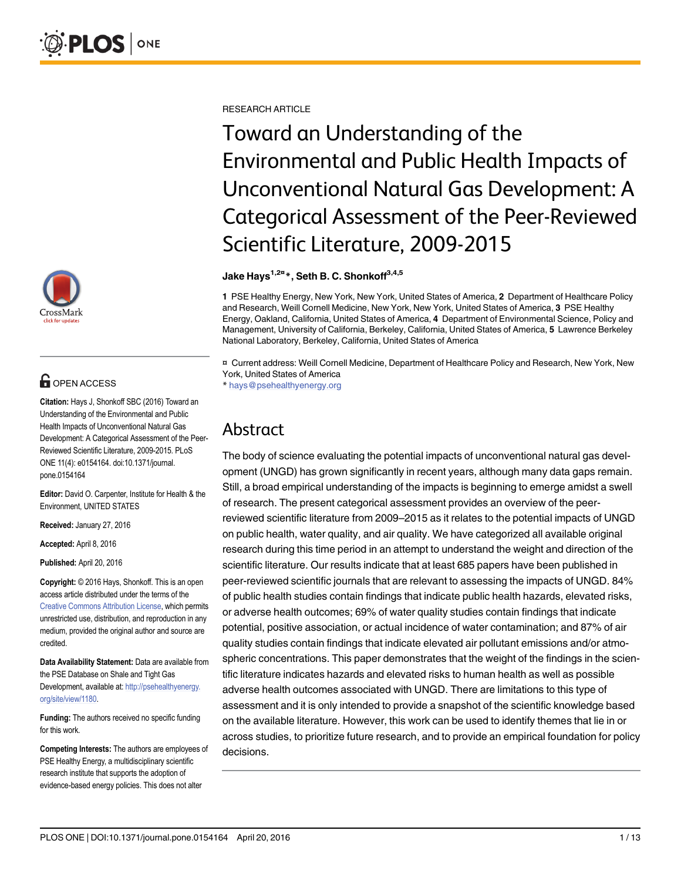

# **OPEN ACCESS**

Citation: Hays J, Shonkoff SBC (2016) Toward an Understanding of the Environmental and Public Health Impacts of Unconventional Natural Gas Development: A Categorical Assessment of the Peer-Reviewed Scientific Literature, 2009-2015. PLoS ONE 11(4): e0154164. doi:10.1371/journal. pone.0154164

Editor: David O. Carpenter, Institute for Health & the Environment, UNITED STATES

Received: January 27, 2016

Accepted: April 8, 2016

Published: April 20, 2016

Copyright: © 2016 Hays, Shonkoff. This is an open access article distributed under the terms of the [Creative Commons Attribution License,](http://creativecommons.org/licenses/by/4.0/) which permits unrestricted use, distribution, and reproduction in any medium, provided the original author and source are credited.

Data Availability Statement: Data are available from the PSE Database on Shale and Tight Gas Development, available at: [http://psehealthyenergy.](http://psehealthyenergy.org/site/view/1180) [org/site/view/1180.](http://psehealthyenergy.org/site/view/1180)

Funding: The authors received no specific funding for this work.

Competing Interests: The authors are employees of PSE Healthy Energy, a multidisciplinary scientific research institute that supports the adoption of evidence-based energy policies. This does not alter

RESEARCH ARTICLE

Toward an Understanding of the Environmental and Public Health Impacts of Unconventional Natural Gas Development: A Categorical Assessment of the Peer-Reviewed Scientific Literature, 2009-2015

Jake Hays<sup>1,2¤</sup>\*, Seth B. C. Shonkoff<sup>3,4,5</sup>

1 PSE Healthy Energy, New York, New York, United States of America, 2 Department of Healthcare Policy and Research, Weill Cornell Medicine, New York, New York, United States of America, 3 PSE Healthy Energy, Oakland, California, United States of America, 4 Department of Environmental Science, Policy and Management, University of California, Berkeley, California, United States of America, 5 Lawrence Berkeley National Laboratory, Berkeley, California, United States of America

¤ Current address: Weill Cornell Medicine, Department of Healthcare Policy and Research, New York, New York, United States of America

\* hays@psehealthyenergy.org

# Abstract

The body of science evaluating the potential impacts of unconventional natural gas development (UNGD) has grown significantly in recent years, although many data gaps remain. Still, a broad empirical understanding of the impacts is beginning to emerge amidst a swell of research. The present categorical assessment provides an overview of the peerreviewed scientific literature from 2009–2015 as it relates to the potential impacts of UNGD on public health, water quality, and air quality. We have categorized all available original research during this time period in an attempt to understand the weight and direction of the scientific literature. Our results indicate that at least 685 papers have been published in peer-reviewed scientific journals that are relevant to assessing the impacts of UNGD. 84% of public health studies contain findings that indicate public health hazards, elevated risks, or adverse health outcomes; 69% of water quality studies contain findings that indicate potential, positive association, or actual incidence of water contamination; and 87% of air quality studies contain findings that indicate elevated air pollutant emissions and/or atmospheric concentrations. This paper demonstrates that the weight of the findings in the scientific literature indicates hazards and elevated risks to human health as well as possible adverse health outcomes associated with UNGD. There are limitations to this type of assessment and it is only intended to provide a snapshot of the scientific knowledge based on the available literature. However, this work can be used to identify themes that lie in or across studies, to prioritize future research, and to provide an empirical foundation for policy decisions.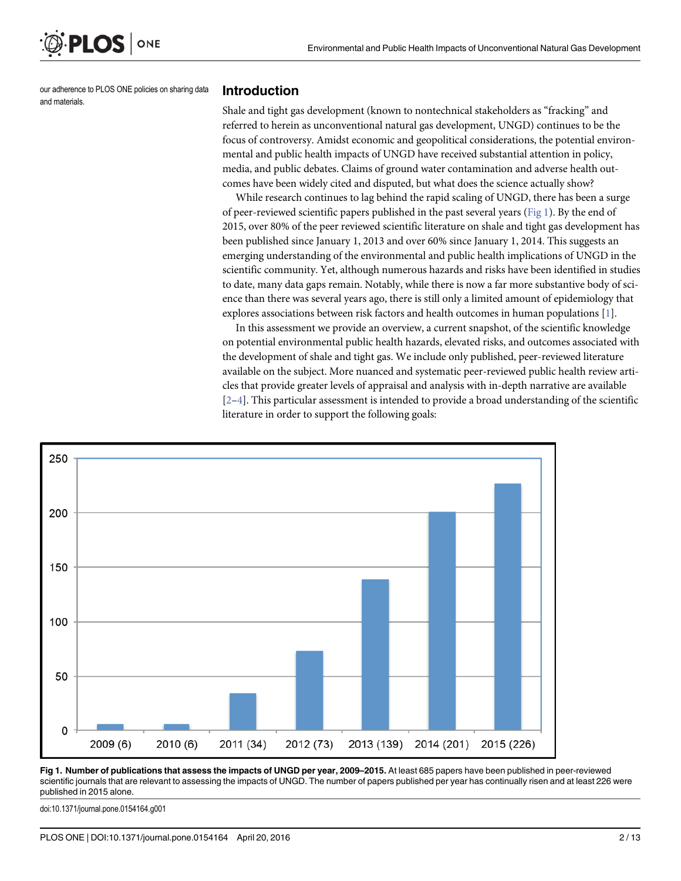our adherence to PLOS ONE policies on sharing data and materials.

ONE

<span id="page-1-0"></span>**PLOS** 

#### Introduction

Shale and tight gas development (known to nontechnical stakeholders as "fracking" and referred to herein as unconventional natural gas development, UNGD) continues to be the focus of controversy. Amidst economic and geopolitical considerations, the potential environmental and public health impacts of UNGD have received substantial attention in policy, media, and public debates. Claims of ground water contamination and adverse health outcomes have been widely cited and disputed, but what does the science actually show?

While research continues to lag behind the rapid scaling of UNGD, there has been a surge of peer-reviewed scientific papers published in the past several years (Fig 1). By the end of 2015, over 80% of the peer reviewed scientific literature on shale and tight gas development has been published since January 1, 2013 and over 60% since January 1, 2014. This suggests an emerging understanding of the environmental and public health implications of UNGD in the scientific community. Yet, although numerous hazards and risks have been identified in studies to date, many data gaps remain. Notably, while there is now a far more substantive body of science than there was several years ago, there is still only a limited amount of epidemiology that explores associations between risk factors and health outcomes in human populations [\[1](#page-11-0)].

In this assessment we provide an overview, a current snapshot, of the scientific knowledge on potential environmental public health hazards, elevated risks, and outcomes associated with the development of shale and tight gas. We include only published, peer-reviewed literature available on the subject. More nuanced and systematic peer-reviewed public health review articles that provide greater levels of appraisal and analysis with in-depth narrative are available  $[2-4]$  $[2-4]$  $[2-4]$  $[2-4]$ . This particular assessment is intended to provide a broad understanding of the scientific literature in order to support the following goals:



Fig 1. Number of publications that assess the impacts of UNGD per year, 2009–2015. At least 685 papers have been published in peer-reviewed scientific journals that are relevant to assessing the impacts of UNGD. The number of papers published per year has continually risen and at least 226 were published in 2015 alone.

doi:10.1371/journal.pone.0154164.g001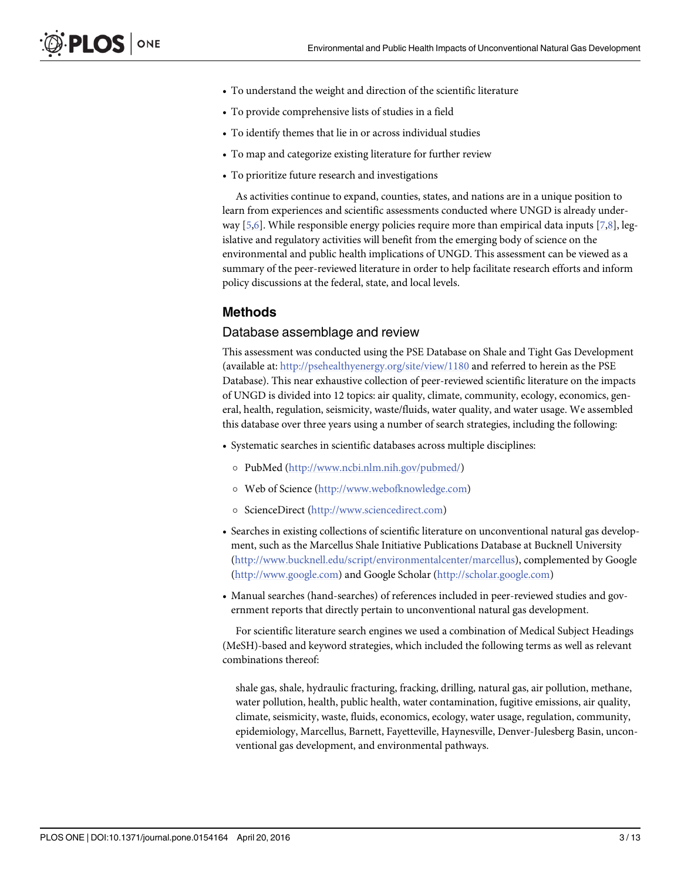- <span id="page-2-0"></span>• To understand the weight and direction of the scientific literature
- To provide comprehensive lists of studies in a field
- To identify themes that lie in or across individual studies
- To map and categorize existing literature for further review
- To prioritize future research and investigations

As activities continue to expand, counties, states, and nations are in a unique position to learn from experiences and scientific assessments conducted where UNGD is already underway  $[5,6]$  $[5,6]$ . While responsible energy policies require more than empirical data inputs  $[7,8]$  $[7,8]$  $[7,8]$  $[7,8]$ , legislative and regulatory activities will benefit from the emerging body of science on the environmental and public health implications of UNGD. This assessment can be viewed as a summary of the peer-reviewed literature in order to help facilitate research efforts and inform policy discussions at the federal, state, and local levels.

### Methods

#### Database assemblage and review

This assessment was conducted using the PSE Database on Shale and Tight Gas Development (available at: <http://psehealthyenergy.org/site/view/1180> and referred to herein as the PSE Database). This near exhaustive collection of peer-reviewed scientific literature on the impacts of UNGD is divided into 12 topics: air quality, climate, community, ecology, economics, general, health, regulation, seismicity, waste/fluids, water quality, and water usage. We assembled this database over three years using a number of search strategies, including the following:

- Systematic searches in scientific databases across multiple disciplines:
	- PubMed (<http://www.ncbi.nlm.nih.gov/pubmed/>)
	- Web of Science [\(http://www.webofknowledge.com](http://www.webofknowledge.com/))
	- o ScienceDirect ([http://www.sciencedirect.com](http://www.sciencedirect.com/))
- Searches in existing collections of scientific literature on unconventional natural gas development, such as the Marcellus Shale Initiative Publications Database at Bucknell University [\(http://www.bucknell.edu/script/environmentalcenter/marcellus](http://www.bucknell.edu/script/environmentalcenter/marcellus)), complemented by Google [\(http://www.google.com](http://www.google.com/)) and Google Scholar [\(http://scholar.google.com\)](http://scholar.google.com/)
- Manual searches (hand-searches) of references included in peer-reviewed studies and government reports that directly pertain to unconventional natural gas development.

For scientific literature search engines we used a combination of Medical Subject Headings (MeSH)-based and keyword strategies, which included the following terms as well as relevant combinations thereof:

shale gas, shale, hydraulic fracturing, fracking, drilling, natural gas, air pollution, methane, water pollution, health, public health, water contamination, fugitive emissions, air quality, climate, seismicity, waste, fluids, economics, ecology, water usage, regulation, community, epidemiology, Marcellus, Barnett, Fayetteville, Haynesville, Denver-Julesberg Basin, unconventional gas development, and environmental pathways.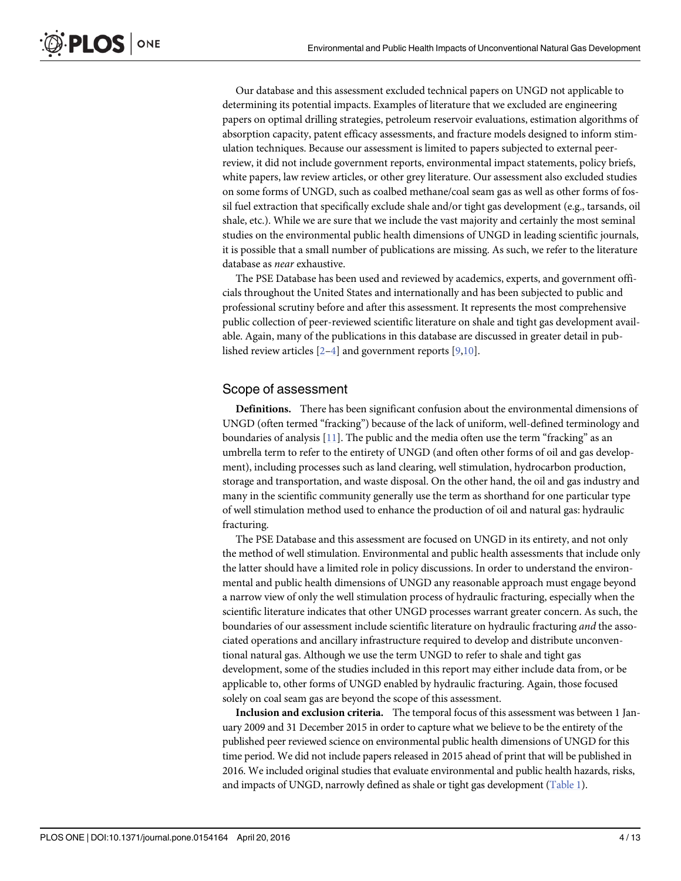<span id="page-3-0"></span>Our database and this assessment excluded technical papers on UNGD not applicable to determining its potential impacts. Examples of literature that we excluded are engineering papers on optimal drilling strategies, petroleum reservoir evaluations, estimation algorithms of absorption capacity, patent efficacy assessments, and fracture models designed to inform stimulation techniques. Because our assessment is limited to papers subjected to external peerreview, it did not include government reports, environmental impact statements, policy briefs, white papers, law review articles, or other grey literature. Our assessment also excluded studies on some forms of UNGD, such as coalbed methane/coal seam gas as well as other forms of fossil fuel extraction that specifically exclude shale and/or tight gas development (e.g., tarsands, oil shale, etc.). While we are sure that we include the vast majority and certainly the most seminal studies on the environmental public health dimensions of UNGD in leading scientific journals, it is possible that a small number of publications are missing. As such, we refer to the literature database as near exhaustive.

The PSE Database has been used and reviewed by academics, experts, and government officials throughout the United States and internationally and has been subjected to public and professional scrutiny before and after this assessment. It represents the most comprehensive public collection of peer-reviewed scientific literature on shale and tight gas development available. Again, many of the publications in this database are discussed in greater detail in published review articles  $[2-4]$  $[2-4]$  $[2-4]$  $[2-4]$  $[2-4]$  and government reports  $[9,10]$  $[9,10]$  $[9,10]$  $[9,10]$  $[9,10]$ .

## Scope of assessment

Definitions. There has been significant confusion about the environmental dimensions of UNGD (often termed "fracking") because of the lack of uniform, well-defined terminology and boundaries of analysis  $[11]$  $[11]$ . The public and the media often use the term "fracking" as an umbrella term to refer to the entirety of UNGD (and often other forms of oil and gas development), including processes such as land clearing, well stimulation, hydrocarbon production, storage and transportation, and waste disposal. On the other hand, the oil and gas industry and many in the scientific community generally use the term as shorthand for one particular type of well stimulation method used to enhance the production of oil and natural gas: hydraulic fracturing.

The PSE Database and this assessment are focused on UNGD in its entirety, and not only the method of well stimulation. Environmental and public health assessments that include only the latter should have a limited role in policy discussions. In order to understand the environmental and public health dimensions of UNGD any reasonable approach must engage beyond a narrow view of only the well stimulation process of hydraulic fracturing, especially when the scientific literature indicates that other UNGD processes warrant greater concern. As such, the boundaries of our assessment include scientific literature on hydraulic fracturing and the associated operations and ancillary infrastructure required to develop and distribute unconventional natural gas. Although we use the term UNGD to refer to shale and tight gas development, some of the studies included in this report may either include data from, or be applicable to, other forms of UNGD enabled by hydraulic fracturing. Again, those focused solely on coal seam gas are beyond the scope of this assessment.

Inclusion and exclusion criteria. The temporal focus of this assessment was between 1 January 2009 and 31 December 2015 in order to capture what we believe to be the entirety of the published peer reviewed science on environmental public health dimensions of UNGD for this time period. We did not include papers released in 2015 ahead of print that will be published in 2016. We included original studies that evaluate environmental and public health hazards, risks, and impacts of UNGD, narrowly defined as shale or tight gas development [\(Table 1\)](#page-4-0).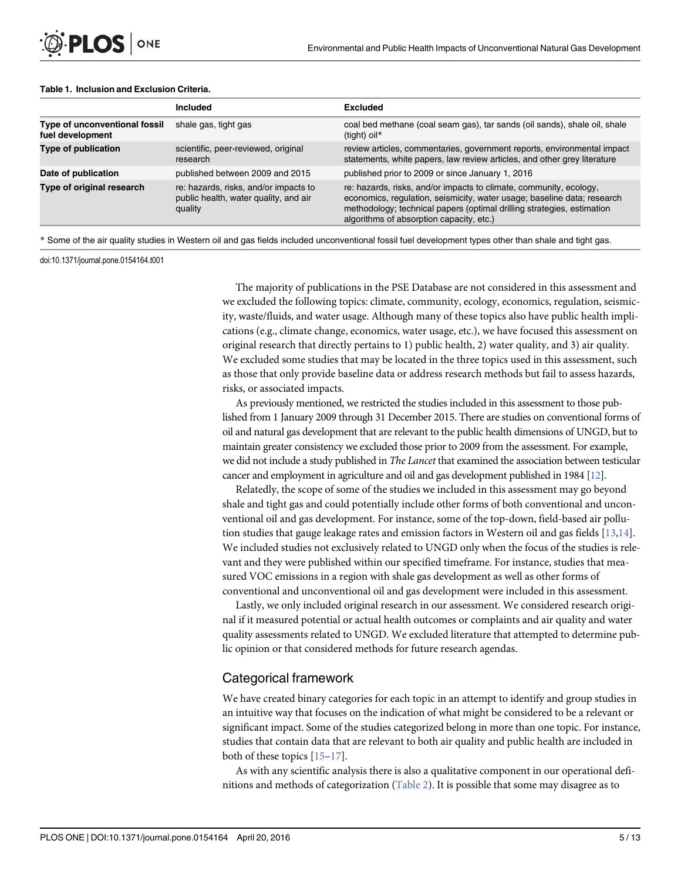<span id="page-4-0"></span>

|                                                   | Included                                                                                  | Excluded                                                                                                                                                                                                                                                            |
|---------------------------------------------------|-------------------------------------------------------------------------------------------|---------------------------------------------------------------------------------------------------------------------------------------------------------------------------------------------------------------------------------------------------------------------|
| Type of unconventional fossil<br>fuel development | shale gas, tight gas                                                                      | coal bed methane (coal seam gas), tar sands (oil sands), shale oil, shale<br>(tight) oil*                                                                                                                                                                           |
| <b>Type of publication</b>                        | scientific, peer-reviewed, original<br>research                                           | review articles, commentaries, government reports, environmental impact<br>statements, white papers, law review articles, and other grey literature                                                                                                                 |
| Date of publication                               | published between 2009 and 2015                                                           | published prior to 2009 or since January 1, 2016                                                                                                                                                                                                                    |
| Type of original research                         | re: hazards, risks, and/or impacts to<br>public health, water quality, and air<br>quality | re: hazards, risks, and/or impacts to climate, community, ecology,<br>economics, regulation, seismicity, water usage; baseline data; research<br>methodology; technical papers (optimal drilling strategies, estimation<br>algorithms of absorption capacity, etc.) |

\* Some of the air quality studies in Western oil and gas fields included unconventional fossil fuel development types other than shale and tight gas.

doi:10.1371/journal.pone.0154164.t001

The majority of publications in the PSE Database are not considered in this assessment and we excluded the following topics: climate, community, ecology, economics, regulation, seismicity, waste/fluids, and water usage. Although many of these topics also have public health implications (e.g., climate change, economics, water usage, etc.), we have focused this assessment on original research that directly pertains to 1) public health, 2) water quality, and 3) air quality. We excluded some studies that may be located in the three topics used in this assessment, such as those that only provide baseline data or address research methods but fail to assess hazards, risks, or associated impacts.

As previously mentioned, we restricted the studies included in this assessment to those published from 1 January 2009 through 31 December 2015. There are studies on conventional forms of oil and natural gas development that are relevant to the public health dimensions of UNGD, but to maintain greater consistency we excluded those prior to 2009 from the assessment. For example, we did not include a study published in *The Lancet* that examined the association between testicular cancer and employment in agriculture and oil and gas development published in 1984 [\[12](#page-11-0)].

Relatedly, the scope of some of the studies we included in this assessment may go beyond shale and tight gas and could potentially include other forms of both conventional and unconventional oil and gas development. For instance, some of the top-down, field-based air pollution studies that gauge leakage rates and emission factors in Western oil and gas fields  $[13,14]$ . We included studies not exclusively related to UNGD only when the focus of the studies is relevant and they were published within our specified timeframe. For instance, studies that measured VOC emissions in a region with shale gas development as well as other forms of conventional and unconventional oil and gas development were included in this assessment.

Lastly, we only included original research in our assessment. We considered research original if it measured potential or actual health outcomes or complaints and air quality and water quality assessments related to UNGD. We excluded literature that attempted to determine public opinion or that considered methods for future research agendas.

### Categorical framework

We have created binary categories for each topic in an attempt to identify and group studies in an intuitive way that focuses on the indication of what might be considered to be a relevant or significant impact. Some of the studies categorized belong in more than one topic. For instance, studies that contain data that are relevant to both air quality and public health are included in both of these topics [[15](#page-11-0)–[17\]](#page-11-0).

As with any scientific analysis there is also a qualitative component in our operational defi-nitions and methods of categorization ([Table 2](#page-5-0)). It is possible that some may disagree as to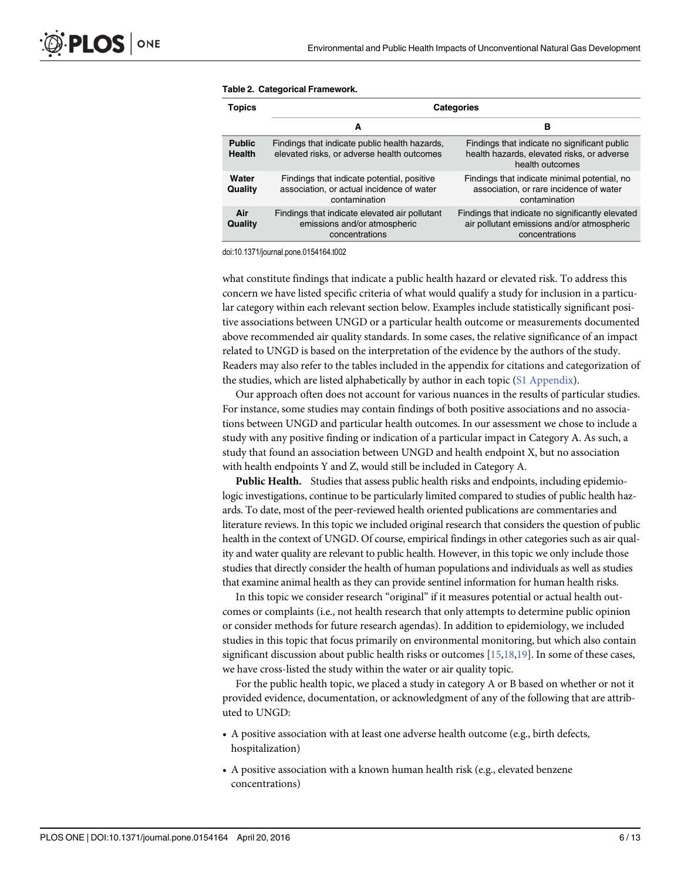<span id="page-5-0"></span>

|  |  | <b>Table 2. Categorical Framework.</b> |
|--|--|----------------------------------------|
|--|--|----------------------------------------|

| Topics                         | <b>Categories</b>                                                                                        |                                                                                                                  |  |
|--------------------------------|----------------------------------------------------------------------------------------------------------|------------------------------------------------------------------------------------------------------------------|--|
|                                | A                                                                                                        | в                                                                                                                |  |
| <b>Public</b><br><b>Health</b> | Findings that indicate public health hazards,<br>elevated risks, or adverse health outcomes              | Findings that indicate no significant public<br>health hazards, elevated risks, or adverse<br>health outcomes    |  |
| Water<br>Quality               | Findings that indicate potential, positive<br>association, or actual incidence of water<br>contamination | Findings that indicate minimal potential, no<br>association, or rare incidence of water<br>contamination         |  |
| Air<br>Quality                 | Findings that indicate elevated air pollutant<br>emissions and/or atmospheric<br>concentrations          | Findings that indicate no significantly elevated<br>air pollutant emissions and/or atmospheric<br>concentrations |  |

doi:10.1371/journal.pone.0154164.t002

what constitute findings that indicate a public health hazard or elevated risk. To address this concern we have listed specific criteria of what would qualify a study for inclusion in a particular category within each relevant section below. Examples include statistically significant positive associations between UNGD or a particular health outcome or measurements documented above recommended air quality standards. In some cases, the relative significance of an impact related to UNGD is based on the interpretation of the evidence by the authors of the study. Readers may also refer to the tables included in the appendix for citations and categorization of the studies, which are listed alphabetically by author in each topic [\(S1 Appendix\)](#page-10-0).

Our approach often does not account for various nuances in the results of particular studies. For instance, some studies may contain findings of both positive associations and no associations between UNGD and particular health outcomes. In our assessment we chose to include a study with any positive finding or indication of a particular impact in Category A. As such, a study that found an association between UNGD and health endpoint X, but no association with health endpoints Y and Z, would still be included in Category A.

Public Health. Studies that assess public health risks and endpoints, including epidemiologic investigations, continue to be particularly limited compared to studies of public health hazards. To date, most of the peer-reviewed health oriented publications are commentaries and literature reviews. In this topic we included original research that considers the question of public health in the context of UNGD. Of course, empirical findings in other categories such as air quality and water quality are relevant to public health. However, in this topic we only include those studies that directly consider the health of human populations and individuals as well as studies that examine animal health as they can provide sentinel information for human health risks.

In this topic we consider research "original" if it measures potential or actual health outcomes or complaints (i.e., not health research that only attempts to determine public opinion or consider methods for future research agendas). In addition to epidemiology, we included studies in this topic that focus primarily on environmental monitoring, but which also contain significant discussion about public health risks or outcomes  $[15,18,19]$  $[15,18,19]$  $[15,18,19]$ . In some of these cases, we have cross-listed the study within the water or air quality topic.

For the public health topic, we placed a study in category A or B based on whether or not it provided evidence, documentation, or acknowledgment of any of the following that are attributed to UNGD:

- A positive association with at least one adverse health outcome (e.g., birth defects, hospitalization)
- A positive association with a known human health risk (e.g., elevated benzene concentrations)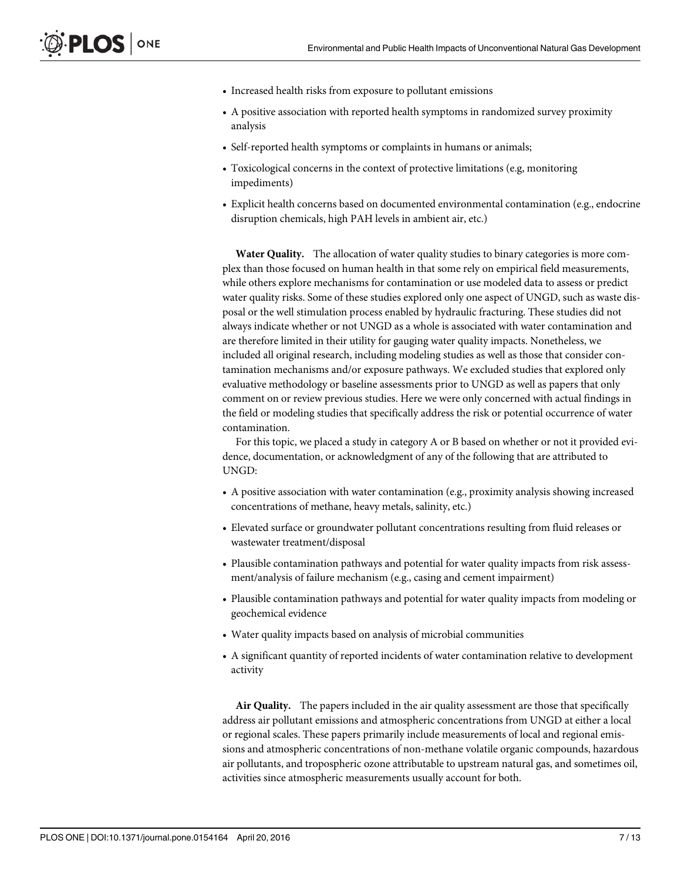- Increased health risks from exposure to pollutant emissions
- A positive association with reported health symptoms in randomized survey proximity analysis
- Self-reported health symptoms or complaints in humans or animals;
- Toxicological concerns in the context of protective limitations (e.g, monitoring impediments)
- Explicit health concerns based on documented environmental contamination (e.g., endocrine disruption chemicals, high PAH levels in ambient air, etc.)

Water Quality. The allocation of water quality studies to binary categories is more complex than those focused on human health in that some rely on empirical field measurements, while others explore mechanisms for contamination or use modeled data to assess or predict water quality risks. Some of these studies explored only one aspect of UNGD, such as waste disposal or the well stimulation process enabled by hydraulic fracturing. These studies did not always indicate whether or not UNGD as a whole is associated with water contamination and are therefore limited in their utility for gauging water quality impacts. Nonetheless, we included all original research, including modeling studies as well as those that consider contamination mechanisms and/or exposure pathways. We excluded studies that explored only evaluative methodology or baseline assessments prior to UNGD as well as papers that only comment on or review previous studies. Here we were only concerned with actual findings in the field or modeling studies that specifically address the risk or potential occurrence of water contamination.

For this topic, we placed a study in category A or B based on whether or not it provided evidence, documentation, or acknowledgment of any of the following that are attributed to UNGD:

- A positive association with water contamination (e.g., proximity analysis showing increased concentrations of methane, heavy metals, salinity, etc.)
- Elevated surface or groundwater pollutant concentrations resulting from fluid releases or wastewater treatment/disposal
- Plausible contamination pathways and potential for water quality impacts from risk assessment/analysis of failure mechanism (e.g., casing and cement impairment)
- Plausible contamination pathways and potential for water quality impacts from modeling or geochemical evidence
- Water quality impacts based on analysis of microbial communities
- A significant quantity of reported incidents of water contamination relative to development activity

Air Quality. The papers included in the air quality assessment are those that specifically address air pollutant emissions and atmospheric concentrations from UNGD at either a local or regional scales. These papers primarily include measurements of local and regional emissions and atmospheric concentrations of non-methane volatile organic compounds, hazardous air pollutants, and tropospheric ozone attributable to upstream natural gas, and sometimes oil, activities since atmospheric measurements usually account for both.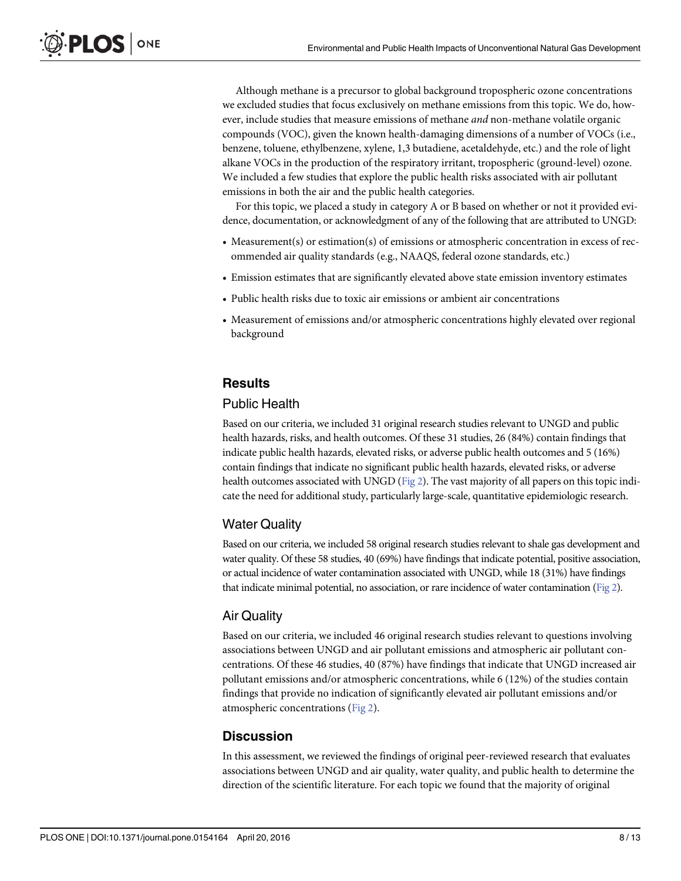<span id="page-7-0"></span>Although methane is a precursor to global background tropospheric ozone concentrations we excluded studies that focus exclusively on methane emissions from this topic. We do, however, include studies that measure emissions of methane and non-methane volatile organic compounds (VOC), given the known health-damaging dimensions of a number of VOCs (i.e., benzene, toluene, ethylbenzene, xylene, 1,3 butadiene, acetaldehyde, etc.) and the role of light alkane VOCs in the production of the respiratory irritant, tropospheric (ground-level) ozone. We included a few studies that explore the public health risks associated with air pollutant emissions in both the air and the public health categories.

For this topic, we placed a study in category A or B based on whether or not it provided evidence, documentation, or acknowledgment of any of the following that are attributed to UNGD:

- Measurement(s) or estimation(s) of emissions or atmospheric concentration in excess of recommended air quality standards (e.g., NAAQS, federal ozone standards, etc.)
- Emission estimates that are significantly elevated above state emission inventory estimates
- Public health risks due to toxic air emissions or ambient air concentrations
- Measurement of emissions and/or atmospheric concentrations highly elevated over regional background

# **Results**

## Public Health

Based on our criteria, we included 31 original research studies relevant to UNGD and public health hazards, risks, and health outcomes. Of these 31 studies, 26 (84%) contain findings that indicate public health hazards, elevated risks, or adverse public health outcomes and 5 (16%) contain findings that indicate no significant public health hazards, elevated risks, or adverse health outcomes associated with UNGD [\(Fig 2](#page-8-0)). The vast majority of all papers on this topic indicate the need for additional study, particularly large-scale, quantitative epidemiologic research.

## Water Quality

Based on our criteria, we included 58 original research studies relevant to shale gas development and water quality. Of these 58 studies, 40 (69%) have findings that indicate potential, positive association, or actual incidence of water contamination associated with UNGD, while 18 (31%) have findings that indicate minimal potential, no association, or rare incidence of water contamination [\(Fig 2\)](#page-8-0).

## Air Quality

Based on our criteria, we included 46 original research studies relevant to questions involving associations between UNGD and air pollutant emissions and atmospheric air pollutant concentrations. Of these 46 studies, 40 (87%) have findings that indicate that UNGD increased air pollutant emissions and/or atmospheric concentrations, while 6 (12%) of the studies contain findings that provide no indication of significantly elevated air pollutant emissions and/or atmospheric concentrations [\(Fig 2\)](#page-8-0).

## **Discussion**

In this assessment, we reviewed the findings of original peer-reviewed research that evaluates associations between UNGD and air quality, water quality, and public health to determine the direction of the scientific literature. For each topic we found that the majority of original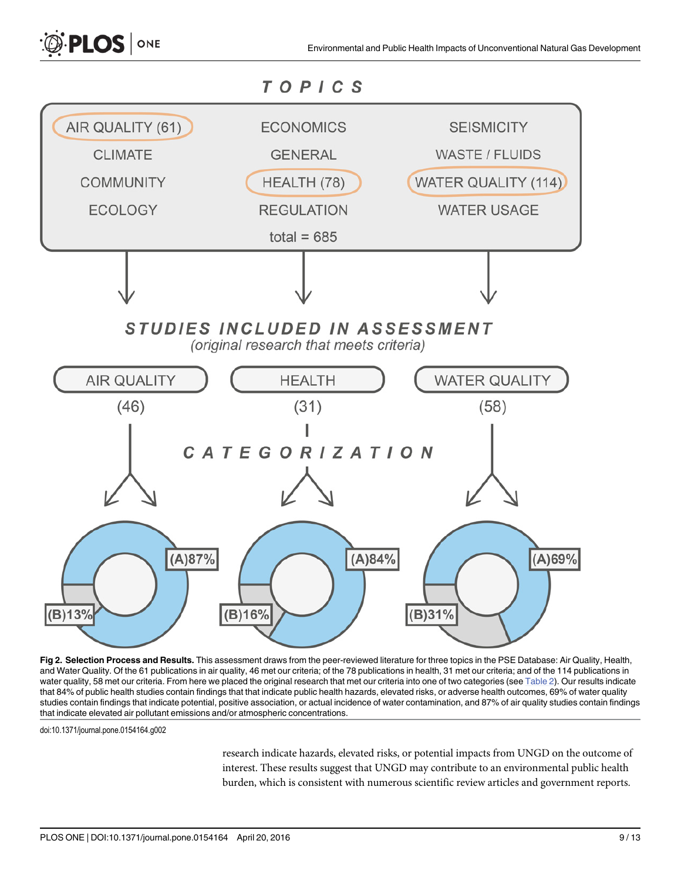<span id="page-8-0"></span>

[Fig 2. S](#page-7-0)election Process and Results. This assessment draws from the peer-reviewed literature for three topics in the PSE Database: Air Quality, Health, and Water Quality. Of the 61 publications in air quality, 46 met our criteria; of the 78 publications in health, 31 met our criteria; and of the 114 publications in water quality, 58 met our criteria. From here we placed the original research that met our criteria into one of two categories (see [Table 2](#page-5-0)). Our results indicate that 84% of public health studies contain findings that that indicate public health hazards, elevated risks, or adverse health outcomes, 69% of water quality studies contain findings that indicate potential, positive association, or actual incidence of water contamination, and 87% of air quality studies contain findings that indicate elevated air pollutant emissions and/or atmospheric concentrations.

doi:10.1371/journal.pone.0154164.g002

research indicate hazards, elevated risks, or potential impacts from UNGD on the outcome of interest. These results suggest that UNGD may contribute to an environmental public health burden, which is consistent with numerous scientific review articles and government reports.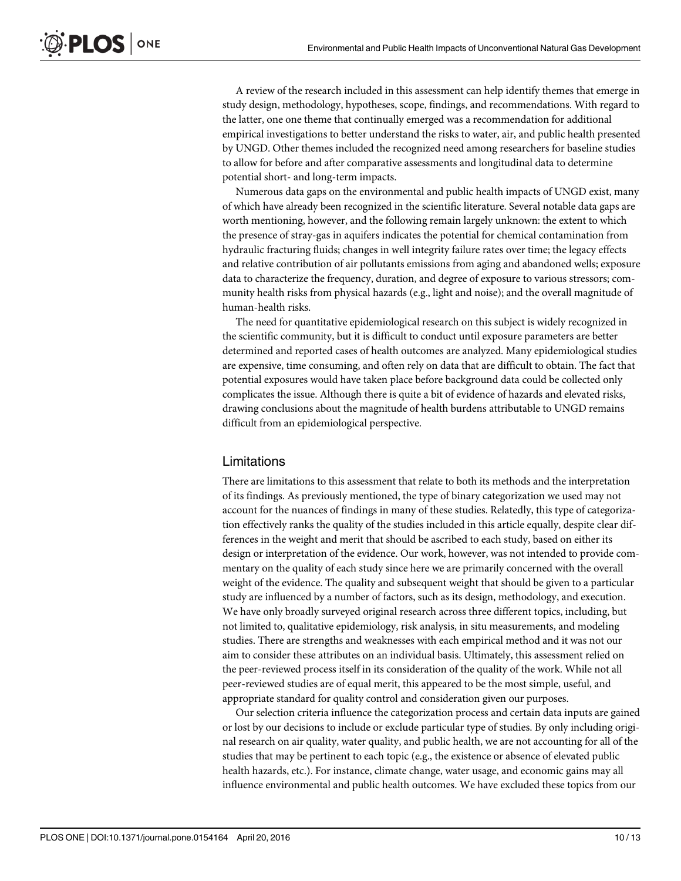A review of the research included in this assessment can help identify themes that emerge in study design, methodology, hypotheses, scope, findings, and recommendations. With regard to the latter, one one theme that continually emerged was a recommendation for additional empirical investigations to better understand the risks to water, air, and public health presented by UNGD. Other themes included the recognized need among researchers for baseline studies to allow for before and after comparative assessments and longitudinal data to determine potential short- and long-term impacts.

Numerous data gaps on the environmental and public health impacts of UNGD exist, many of which have already been recognized in the scientific literature. Several notable data gaps are worth mentioning, however, and the following remain largely unknown: the extent to which the presence of stray-gas in aquifers indicates the potential for chemical contamination from hydraulic fracturing fluids; changes in well integrity failure rates over time; the legacy effects and relative contribution of air pollutants emissions from aging and abandoned wells; exposure data to characterize the frequency, duration, and degree of exposure to various stressors; community health risks from physical hazards (e.g., light and noise); and the overall magnitude of human-health risks.

The need for quantitative epidemiological research on this subject is widely recognized in the scientific community, but it is difficult to conduct until exposure parameters are better determined and reported cases of health outcomes are analyzed. Many epidemiological studies are expensive, time consuming, and often rely on data that are difficult to obtain. The fact that potential exposures would have taken place before background data could be collected only complicates the issue. Although there is quite a bit of evidence of hazards and elevated risks, drawing conclusions about the magnitude of health burdens attributable to UNGD remains difficult from an epidemiological perspective.

#### Limitations

There are limitations to this assessment that relate to both its methods and the interpretation of its findings. As previously mentioned, the type of binary categorization we used may not account for the nuances of findings in many of these studies. Relatedly, this type of categorization effectively ranks the quality of the studies included in this article equally, despite clear differences in the weight and merit that should be ascribed to each study, based on either its design or interpretation of the evidence. Our work, however, was not intended to provide commentary on the quality of each study since here we are primarily concerned with the overall weight of the evidence. The quality and subsequent weight that should be given to a particular study are influenced by a number of factors, such as its design, methodology, and execution. We have only broadly surveyed original research across three different topics, including, but not limited to, qualitative epidemiology, risk analysis, in situ measurements, and modeling studies. There are strengths and weaknesses with each empirical method and it was not our aim to consider these attributes on an individual basis. Ultimately, this assessment relied on the peer-reviewed process itself in its consideration of the quality of the work. While not all peer-reviewed studies are of equal merit, this appeared to be the most simple, useful, and appropriate standard for quality control and consideration given our purposes.

Our selection criteria influence the categorization process and certain data inputs are gained or lost by our decisions to include or exclude particular type of studies. By only including original research on air quality, water quality, and public health, we are not accounting for all of the studies that may be pertinent to each topic (e.g., the existence or absence of elevated public health hazards, etc.). For instance, climate change, water usage, and economic gains may all influence environmental and public health outcomes. We have excluded these topics from our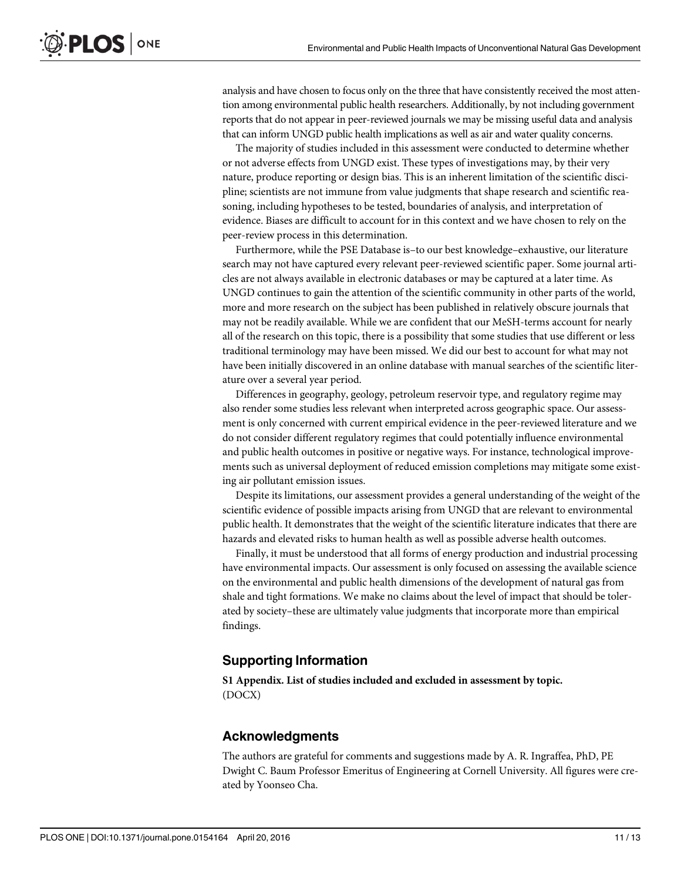<span id="page-10-0"></span>analysis and have chosen to focus only on the three that have consistently received the most attention among environmental public health researchers. Additionally, by not including government reports that do not appear in peer-reviewed journals we may be missing useful data and analysis that can inform UNGD public health implications as well as air and water quality concerns.

The majority of studies included in this assessment were conducted to determine whether or not adverse effects from UNGD exist. These types of investigations may, by their very nature, produce reporting or design bias. This is an inherent limitation of the scientific discipline; scientists are not immune from value judgments that shape research and scientific reasoning, including hypotheses to be tested, boundaries of analysis, and interpretation of evidence. Biases are difficult to account for in this context and we have chosen to rely on the peer-review process in this determination.

Furthermore, while the PSE Database is–to our best knowledge–exhaustive, our literature search may not have captured every relevant peer-reviewed scientific paper. Some journal articles are not always available in electronic databases or may be captured at a later time. As UNGD continues to gain the attention of the scientific community in other parts of the world, more and more research on the subject has been published in relatively obscure journals that may not be readily available. While we are confident that our MeSH-terms account for nearly all of the research on this topic, there is a possibility that some studies that use different or less traditional terminology may have been missed. We did our best to account for what may not have been initially discovered in an online database with manual searches of the scientific literature over a several year period.

Differences in geography, geology, petroleum reservoir type, and regulatory regime may also render some studies less relevant when interpreted across geographic space. Our assessment is only concerned with current empirical evidence in the peer-reviewed literature and we do not consider different regulatory regimes that could potentially influence environmental and public health outcomes in positive or negative ways. For instance, technological improvements such as universal deployment of reduced emission completions may mitigate some existing air pollutant emission issues.

Despite its limitations, our assessment provides a general understanding of the weight of the scientific evidence of possible impacts arising from UNGD that are relevant to environmental public health. It demonstrates that the weight of the scientific literature indicates that there are hazards and elevated risks to human health as well as possible adverse health outcomes.

Finally, it must be understood that all forms of energy production and industrial processing have environmental impacts. Our assessment is only focused on assessing the available science on the environmental and public health dimensions of the development of natural gas from shale and tight formations. We make no claims about the level of impact that should be tolerated by society–these are ultimately value judgments that incorporate more than empirical findings.

## Supporting Information

[S1 Appendix.](http://www.plosone.org/article/fetchSingleRepresentation.action?uri=info:doi/10.1371/journal.pone.0154164.s001) List of studies included and excluded in assessment by topic. (DOCX)

### Acknowledgments

The authors are grateful for comments and suggestions made by A. R. Ingraffea, PhD, PE Dwight C. Baum Professor Emeritus of Engineering at Cornell University. All figures were created by Yoonseo Cha.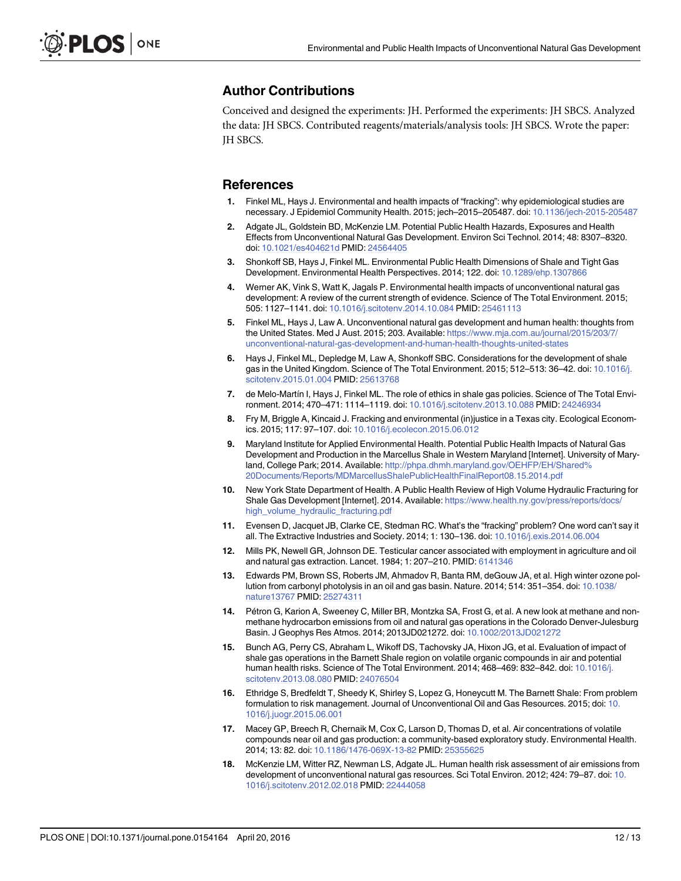## <span id="page-11-0"></span>Author Contributions

Conceived and designed the experiments: JH. Performed the experiments: JH SBCS. Analyzed the data: JH SBCS. Contributed reagents/materials/analysis tools: JH SBCS. Wrote the paper: JH SBCS.

#### References

- [1.](#page-1-0) Finkel ML, Hays J. Environmental and health impacts of "fracking": why epidemiological studies are necessary. J Epidemiol Community Health. 2015; jech–2015–205487. doi: [10.1136/jech-2015-205487](http://dx.doi.org/10.1136/jech-2015-205487)
- [2.](#page-1-0) Adgate JL, Goldstein BD, McKenzie LM. Potential Public Health Hazards, Exposures and Health Effects from Unconventional Natural Gas Development. Environ Sci Technol. 2014; 48: 8307–8320. doi: [10.1021/es404621d](http://dx.doi.org/10.1021/es404621d) PMID: [24564405](http://www.ncbi.nlm.nih.gov/pubmed/24564405)
- 3. Shonkoff SB, Hays J, Finkel ML. Environmental Public Health Dimensions of Shale and Tight Gas Development. Environmental Health Perspectives. 2014; 122. doi: [10.1289/ehp.1307866](http://dx.doi.org/10.1289/ehp.1307866)
- [4.](#page-1-0) Werner AK, Vink S, Watt K, Jagals P. Environmental health impacts of unconventional natural gas development: A review of the current strength of evidence. Science of The Total Environment. 2015; 505: 1127–1141. doi: [10.1016/j.scitotenv.2014.10.084](http://dx.doi.org/10.1016/j.scitotenv.2014.10.084) PMID: [25461113](http://www.ncbi.nlm.nih.gov/pubmed/25461113)
- [5.](#page-2-0) Finkel ML, Hays J, Law A. Unconventional natural gas development and human health: thoughts from the United States. Med J Aust. 2015; 203. Available: [https://www.mja.com.au/journal/2015/203/7/](https://www.mja.com.au/journal/2015/203/7/unconventional-natural-gas-development-and-human-health-thoughts-united-states) [unconventional-natural-gas-development-and-human-health-thoughts-united-states](https://www.mja.com.au/journal/2015/203/7/unconventional-natural-gas-development-and-human-health-thoughts-united-states)
- [6.](#page-2-0) Hays J, Finkel ML, Depledge M, Law A, Shonkoff SBC. Considerations for the development of shale gas in the United Kingdom. Science of The Total Environment. 2015; 512–513: 36–42. doi: [10.1016/j.](http://dx.doi.org/10.1016/j.scitotenv.2015.01.004) [scitotenv.2015.01.004](http://dx.doi.org/10.1016/j.scitotenv.2015.01.004) PMID: [25613768](http://www.ncbi.nlm.nih.gov/pubmed/25613768)
- [7.](#page-2-0) de Melo-Martín I, Hays J, Finkel ML. The role of ethics in shale gas policies. Science of The Total Environment. 2014; 470–471: 1114–1119. doi: [10.1016/j.scitotenv.2013.10.088](http://dx.doi.org/10.1016/j.scitotenv.2013.10.088) PMID: [24246934](http://www.ncbi.nlm.nih.gov/pubmed/24246934)
- [8.](#page-2-0) Fry M, Briggle A, Kincaid J. Fracking and environmental (in)justice in a Texas city. Ecological Economics. 2015; 117: 97–107. doi: [10.1016/j.ecolecon.2015.06.012](http://dx.doi.org/10.1016/j.ecolecon.2015.06.012)
- [9.](#page-3-0) Maryland Institute for Applied Environmental Health. Potential Public Health Impacts of Natural Gas Development and Production in the Marcellus Shale in Western Maryland [Internet]. University of Maryland, College Park; 2014. Available: [http://phpa.dhmh.maryland.gov/OEHFP/EH/Shared%](http://phpa.dhmh.maryland.gov/OEHFP/EH/Shared%20Documents/Reports/MDMarcellusShalePublicHealthFinalReport08.15.2014.pdf) [20Documents/Reports/MDMarcellusShalePublicHealthFinalReport08.15.2014.pdf](http://phpa.dhmh.maryland.gov/OEHFP/EH/Shared%20Documents/Reports/MDMarcellusShalePublicHealthFinalReport08.15.2014.pdf)
- [10.](#page-3-0) New York State Department of Health. A Public Health Review of High Volume Hydraulic Fracturing for Shale Gas Development [Internet]. 2014. Available: [https://www.health.ny.gov/press/reports/docs/](https://www.health.ny.gov/press/reports/docs/high_volume_hydraulic_fracturing.pdf) [high\\_volume\\_hydraulic\\_fracturing.pdf](https://www.health.ny.gov/press/reports/docs/high_volume_hydraulic_fracturing.pdf)
- [11.](#page-3-0) Evensen D, Jacquet JB, Clarke CE, Stedman RC. What's the "fracking" problem? One word can't say it all. The Extractive Industries and Society. 2014; 1: 130–136. doi: [10.1016/j.exis.2014.06.004](http://dx.doi.org/10.1016/j.exis.2014.06.004)
- [12.](#page-4-0) Mills PK, Newell GR, Johnson DE. Testicular cancer associated with employment in agriculture and oil and natural gas extraction. Lancet. 1984; 1: 207–210. PMID: [6141346](http://www.ncbi.nlm.nih.gov/pubmed/6141346)
- [13.](#page-4-0) Edwards PM, Brown SS, Roberts JM, Ahmadov R, Banta RM, deGouw JA, et al. High winter ozone pollution from carbonyl photolysis in an oil and gas basin. Nature. 2014; 514: 351–354. doi: [10.1038/](http://dx.doi.org/10.1038/nature13767) [nature13767](http://dx.doi.org/10.1038/nature13767) PMID: [25274311](http://www.ncbi.nlm.nih.gov/pubmed/25274311)
- [14.](#page-4-0) Pétron G, Karion A, Sweeney C, Miller BR, Montzka SA, Frost G, et al. A new look at methane and nonmethane hydrocarbon emissions from oil and natural gas operations in the Colorado Denver-Julesburg Basin. J Geophys Res Atmos. 2014; 2013JD021272. doi: [10.1002/2013JD021272](http://dx.doi.org/10.1002/2013JD021272)
- [15.](#page-4-0) Bunch AG, Perry CS, Abraham L, Wikoff DS, Tachovsky JA, Hixon JG, et al. Evaluation of impact of shale gas operations in the Barnett Shale region on volatile organic compounds in air and potential human health risks. Science of The Total Environment. 2014; 468-469: 832-842. doi: [10.1016/j.](http://dx.doi.org/10.1016/j.scitotenv.2013.08.080) [scitotenv.2013.08.080](http://dx.doi.org/10.1016/j.scitotenv.2013.08.080) PMID: [24076504](http://www.ncbi.nlm.nih.gov/pubmed/24076504)
- 16. Ethridge S, Bredfeldt T, Sheedy K, Shirley S, Lopez G, Honeycutt M. The Barnett Shale: From problem formulation to risk management. Journal of Unconventional Oil and Gas Resources. 2015; doi: [10.](http://dx.doi.org/10.1016/j.juogr.2015.06.001) [1016/j.juogr.2015.06.001](http://dx.doi.org/10.1016/j.juogr.2015.06.001)
- [17.](#page-4-0) Macey GP, Breech R, Chernaik M, Cox C, Larson D, Thomas D, et al. Air concentrations of volatile compounds near oil and gas production: a community-based exploratory study. Environmental Health. 2014; 13: 82. doi: [10.1186/1476-069X-13-82](http://dx.doi.org/10.1186/1476-069X-13-82) PMID: [25355625](http://www.ncbi.nlm.nih.gov/pubmed/25355625)
- [18.](#page-5-0) McKenzie LM, Witter RZ, Newman LS, Adgate JL. Human health risk assessment of air emissions from development of unconventional natural gas resources. Sci Total Environ. 2012; 424: 79–87. doi: [10.](http://dx.doi.org/10.1016/j.scitotenv.2012.02.018) [1016/j.scitotenv.2012.02.018](http://dx.doi.org/10.1016/j.scitotenv.2012.02.018) PMID: [22444058](http://www.ncbi.nlm.nih.gov/pubmed/22444058)